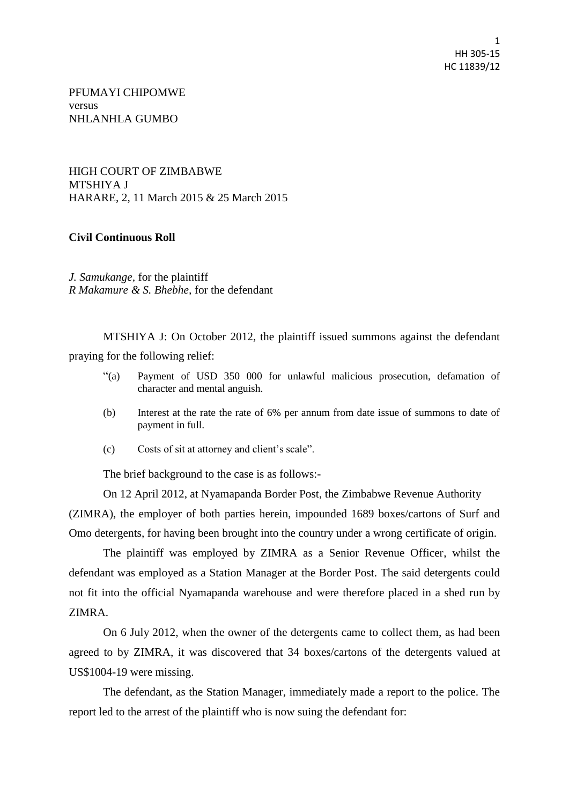1 HH 305-15 HC 11839/12

PFUMAYI CHIPOMWE versus NHLANHLA GUMBO

HIGH COURT OF ZIMBABWE MTSHIYA J HARARE, 2, 11 March 2015 & 25 March 2015

## **Civil Continuous Roll**

*J. Samukange,* for the plaintiff *R Makamure & S. Bhebhe,* for the defendant

MTSHIYA J: On October 2012, the plaintiff issued summons against the defendant praying for the following relief:

- "(a) Payment of USD 350 000 for unlawful malicious prosecution, defamation of character and mental anguish.
- (b) Interest at the rate the rate of 6% per annum from date issue of summons to date of payment in full.
- (c) Costs of sit at attorney and client's scale".

The brief background to the case is as follows:-

On 12 April 2012, at Nyamapanda Border Post, the Zimbabwe Revenue Authority (ZIMRA), the employer of both parties herein, impounded 1689 boxes/cartons of Surf and Omo detergents, for having been brought into the country under a wrong certificate of origin.

The plaintiff was employed by ZIMRA as a Senior Revenue Officer, whilst the defendant was employed as a Station Manager at the Border Post. The said detergents could not fit into the official Nyamapanda warehouse and were therefore placed in a shed run by ZIMRA.

On 6 July 2012, when the owner of the detergents came to collect them, as had been agreed to by ZIMRA, it was discovered that 34 boxes/cartons of the detergents valued at US\$1004-19 were missing.

The defendant, as the Station Manager, immediately made a report to the police. The report led to the arrest of the plaintiff who is now suing the defendant for: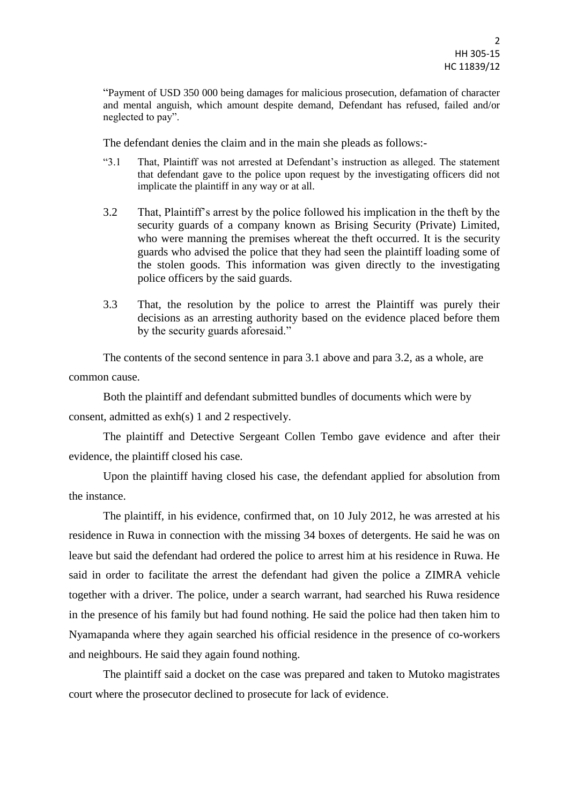"Payment of USD 350 000 being damages for malicious prosecution, defamation of character and mental anguish, which amount despite demand, Defendant has refused, failed and/or neglected to pay".

The defendant denies the claim and in the main she pleads as follows:-

- "3.1 That, Plaintiff was not arrested at Defendant's instruction as alleged. The statement that defendant gave to the police upon request by the investigating officers did not implicate the plaintiff in any way or at all.
- 3.2 That, Plaintiff's arrest by the police followed his implication in the theft by the security guards of a company known as Brising Security (Private) Limited, who were manning the premises whereat the theft occurred. It is the security guards who advised the police that they had seen the plaintiff loading some of the stolen goods. This information was given directly to the investigating police officers by the said guards.
- 3.3 That, the resolution by the police to arrest the Plaintiff was purely their decisions as an arresting authority based on the evidence placed before them by the security guards aforesaid."

The contents of the second sentence in para 3.1 above and para 3.2, as a whole, are common cause.

Both the plaintiff and defendant submitted bundles of documents which were by consent, admitted as exh(s) 1 and 2 respectively.

The plaintiff and Detective Sergeant Collen Tembo gave evidence and after their evidence, the plaintiff closed his case.

Upon the plaintiff having closed his case, the defendant applied for absolution from the instance.

The plaintiff, in his evidence, confirmed that, on 10 July 2012, he was arrested at his residence in Ruwa in connection with the missing 34 boxes of detergents. He said he was on leave but said the defendant had ordered the police to arrest him at his residence in Ruwa. He said in order to facilitate the arrest the defendant had given the police a ZIMRA vehicle together with a driver. The police, under a search warrant, had searched his Ruwa residence in the presence of his family but had found nothing. He said the police had then taken him to Nyamapanda where they again searched his official residence in the presence of co-workers and neighbours. He said they again found nothing.

The plaintiff said a docket on the case was prepared and taken to Mutoko magistrates court where the prosecutor declined to prosecute for lack of evidence.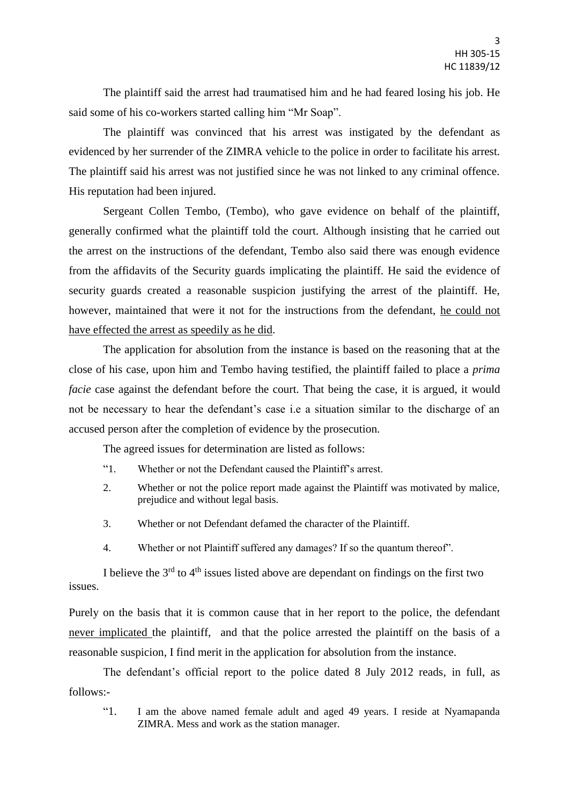The plaintiff said the arrest had traumatised him and he had feared losing his job. He said some of his co-workers started calling him "Mr Soap".

The plaintiff was convinced that his arrest was instigated by the defendant as evidenced by her surrender of the ZIMRA vehicle to the police in order to facilitate his arrest. The plaintiff said his arrest was not justified since he was not linked to any criminal offence. His reputation had been injured.

Sergeant Collen Tembo, (Tembo), who gave evidence on behalf of the plaintiff, generally confirmed what the plaintiff told the court. Although insisting that he carried out the arrest on the instructions of the defendant, Tembo also said there was enough evidence from the affidavits of the Security guards implicating the plaintiff. He said the evidence of security guards created a reasonable suspicion justifying the arrest of the plaintiff. He, however, maintained that were it not for the instructions from the defendant, he could not have effected the arrest as speedily as he did.

The application for absolution from the instance is based on the reasoning that at the close of his case, upon him and Tembo having testified, the plaintiff failed to place a *prima facie* case against the defendant before the court. That being the case, it is argued, it would not be necessary to hear the defendant's case i.e a situation similar to the discharge of an accused person after the completion of evidence by the prosecution.

The agreed issues for determination are listed as follows:

- "1. Whether or not the Defendant caused the Plaintiff's arrest.
- 2. Whether or not the police report made against the Plaintiff was motivated by malice, prejudice and without legal basis.
- 3. Whether or not Defendant defamed the character of the Plaintiff.
- 4. Whether or not Plaintiff suffered any damages? If so the quantum thereof".

I believe the  $3<sup>rd</sup>$  to  $4<sup>th</sup>$  issues listed above are dependant on findings on the first two issues.

Purely on the basis that it is common cause that in her report to the police, the defendant never implicated the plaintiff, and that the police arrested the plaintiff on the basis of a reasonable suspicion, I find merit in the application for absolution from the instance.

The defendant's official report to the police dated 8 July 2012 reads, in full, as follows:-

"1. I am the above named female adult and aged 49 years. I reside at Nyamapanda ZIMRA. Mess and work as the station manager.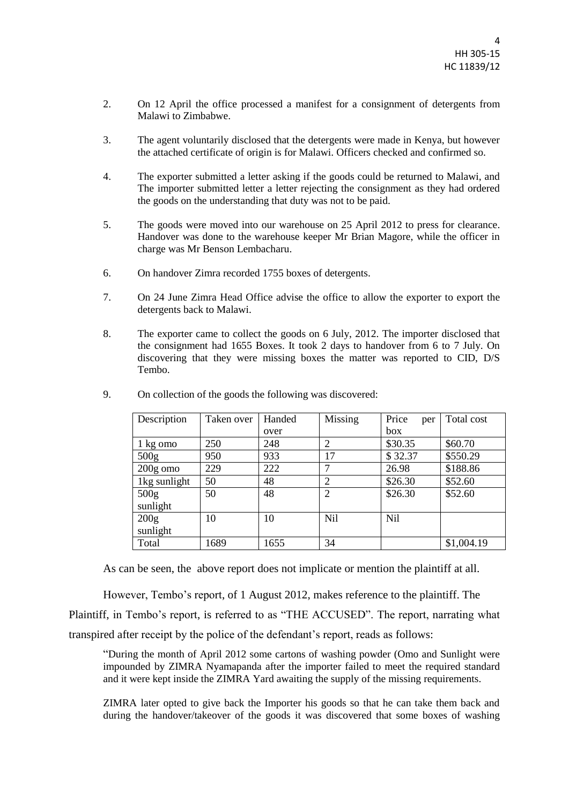- 2. On 12 April the office processed a manifest for a consignment of detergents from Malawi to Zimbabwe.
- 3. The agent voluntarily disclosed that the detergents were made in Kenya, but however the attached certificate of origin is for Malawi. Officers checked and confirmed so.
- 4. The exporter submitted a letter asking if the goods could be returned to Malawi, and The importer submitted letter a letter rejecting the consignment as they had ordered the goods on the understanding that duty was not to be paid.
- 5. The goods were moved into our warehouse on 25 April 2012 to press for clearance. Handover was done to the warehouse keeper Mr Brian Magore, while the officer in charge was Mr Benson Lembacharu.
- 6. On handover Zimra recorded 1755 boxes of detergents.
- 7. On 24 June Zimra Head Office advise the office to allow the exporter to export the detergents back to Malawi.
- 8. The exporter came to collect the goods on 6 July, 2012. The importer disclosed that the consignment had 1655 Boxes. It took 2 days to handover from 6 to 7 July. On discovering that they were missing boxes the matter was reported to CID, D/S Tembo.

| Description      | Taken over | Handed | Missing        | Price<br>per    | Total cost |
|------------------|------------|--------|----------------|-----------------|------------|
|                  |            | over   |                | box             |            |
| 1 kg omo         | 250        | 248    | $\overline{2}$ | \$30.35         | \$60.70    |
| 500 <sub>g</sub> | 950        | 933    | 17             | \$32.37         | \$550.29   |
| $200g$ omo       | 229        | 222    | ⇁              | 26.98           | \$188.86   |
| 1kg sunlight     | 50         | 48     | 2              | \$26.30         | \$52.60    |
| 500 <sub>g</sub> | 50         | 48     | $\overline{2}$ | \$26.30         | \$52.60    |
| sunlight         |            |        |                |                 |            |
| 200g             | 10         | 10     | Nil            | N <sub>il</sub> |            |
| sunlight         |            |        |                |                 |            |
| Total            | 1689       | 1655   | 34             |                 | \$1,004.19 |

9. On collection of the goods the following was discovered:

As can be seen, the above report does not implicate or mention the plaintiff at all.

However, Tembo's report, of 1 August 2012, makes reference to the plaintiff. The Plaintiff, in Tembo's report, is referred to as "THE ACCUSED". The report, narrating what transpired after receipt by the police of the defendant's report, reads as follows:

"During the month of April 2012 some cartons of washing powder (Omo and Sunlight were impounded by ZIMRA Nyamapanda after the importer failed to meet the required standard and it were kept inside the ZIMRA Yard awaiting the supply of the missing requirements.

ZIMRA later opted to give back the Importer his goods so that he can take them back and during the handover/takeover of the goods it was discovered that some boxes of washing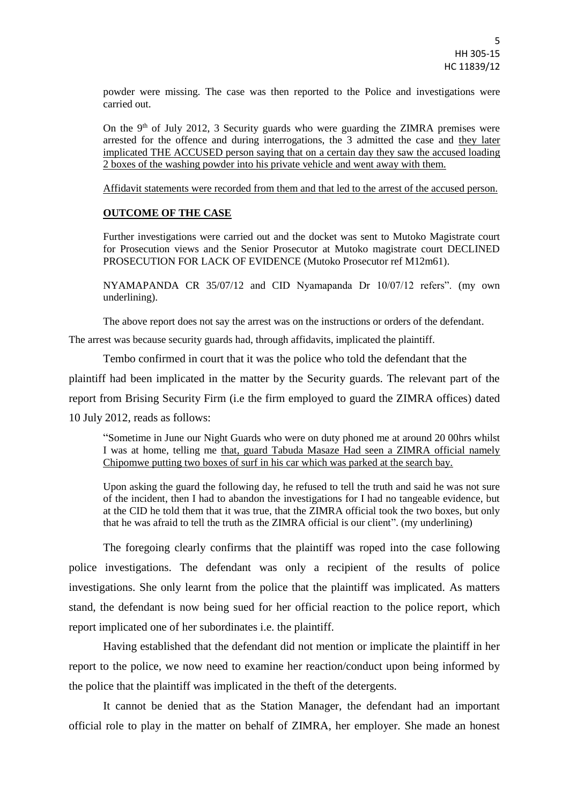powder were missing. The case was then reported to the Police and investigations were carried out.

On the 9th of July 2012, 3 Security guards who were guarding the ZIMRA premises were arrested for the offence and during interrogations, the 3 admitted the case and they later implicated THE ACCUSED person saying that on a certain day they saw the accused loading 2 boxes of the washing powder into his private vehicle and went away with them.

Affidavit statements were recorded from them and that led to the arrest of the accused person.

## **OUTCOME OF THE CASE**

Further investigations were carried out and the docket was sent to Mutoko Magistrate court for Prosecution views and the Senior Prosecutor at Mutoko magistrate court DECLINED PROSECUTION FOR LACK OF EVIDENCE (Mutoko Prosecutor ref M12m61).

NYAMAPANDA CR 35/07/12 and CID Nyamapanda Dr 10/07/12 refers". (my own underlining).

The above report does not say the arrest was on the instructions or orders of the defendant.

The arrest was because security guards had, through affidavits, implicated the plaintiff.

Tembo confirmed in court that it was the police who told the defendant that the

plaintiff had been implicated in the matter by the Security guards. The relevant part of the

report from Brising Security Firm (i.e the firm employed to guard the ZIMRA offices) dated

10 July 2012, reads as follows:

"Sometime in June our Night Guards who were on duty phoned me at around 20 00hrs whilst I was at home, telling me that, guard Tabuda Masaze Had seen a ZIMRA official namely Chipomwe putting two boxes of surf in his car which was parked at the search bay.

Upon asking the guard the following day, he refused to tell the truth and said he was not sure of the incident, then I had to abandon the investigations for I had no tangeable evidence, but at the CID he told them that it was true, that the ZIMRA official took the two boxes, but only that he was afraid to tell the truth as the ZIMRA official is our client". (my underlining)

The foregoing clearly confirms that the plaintiff was roped into the case following police investigations. The defendant was only a recipient of the results of police investigations. She only learnt from the police that the plaintiff was implicated. As matters stand, the defendant is now being sued for her official reaction to the police report, which report implicated one of her subordinates i.e. the plaintiff.

Having established that the defendant did not mention or implicate the plaintiff in her report to the police, we now need to examine her reaction/conduct upon being informed by the police that the plaintiff was implicated in the theft of the detergents.

It cannot be denied that as the Station Manager, the defendant had an important official role to play in the matter on behalf of ZIMRA, her employer. She made an honest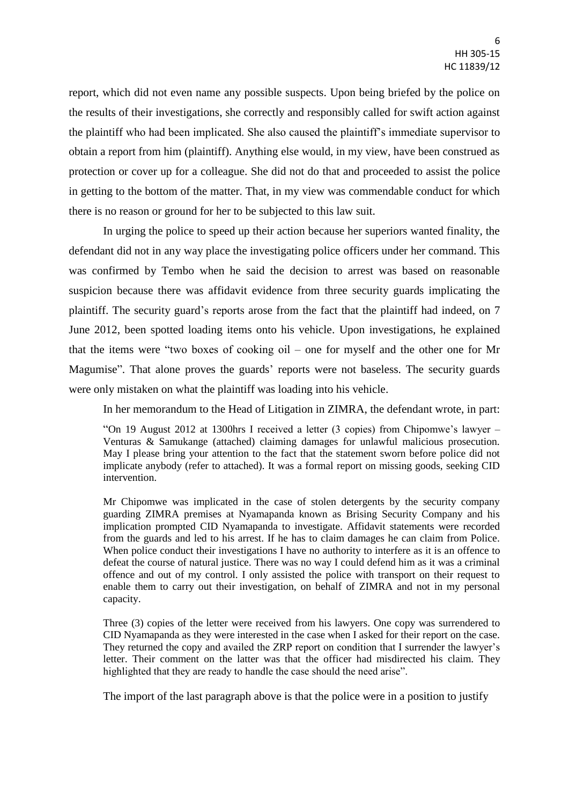report, which did not even name any possible suspects. Upon being briefed by the police on the results of their investigations, she correctly and responsibly called for swift action against the plaintiff who had been implicated. She also caused the plaintiff's immediate supervisor to obtain a report from him (plaintiff). Anything else would, in my view, have been construed as protection or cover up for a colleague. She did not do that and proceeded to assist the police in getting to the bottom of the matter. That, in my view was commendable conduct for which there is no reason or ground for her to be subjected to this law suit.

In urging the police to speed up their action because her superiors wanted finality, the defendant did not in any way place the investigating police officers under her command. This was confirmed by Tembo when he said the decision to arrest was based on reasonable suspicion because there was affidavit evidence from three security guards implicating the plaintiff. The security guard's reports arose from the fact that the plaintiff had indeed, on 7 June 2012, been spotted loading items onto his vehicle. Upon investigations, he explained that the items were "two boxes of cooking oil – one for myself and the other one for Mr Magumise". That alone proves the guards' reports were not baseless. The security guards were only mistaken on what the plaintiff was loading into his vehicle.

In her memorandum to the Head of Litigation in ZIMRA, the defendant wrote, in part:

"On 19 August 2012 at 1300hrs I received a letter (3 copies) from Chipomwe's lawyer – Venturas & Samukange (attached) claiming damages for unlawful malicious prosecution. May I please bring your attention to the fact that the statement sworn before police did not implicate anybody (refer to attached). It was a formal report on missing goods, seeking CID intervention.

Mr Chipomwe was implicated in the case of stolen detergents by the security company guarding ZIMRA premises at Nyamapanda known as Brising Security Company and his implication prompted CID Nyamapanda to investigate. Affidavit statements were recorded from the guards and led to his arrest. If he has to claim damages he can claim from Police. When police conduct their investigations I have no authority to interfere as it is an offence to defeat the course of natural justice. There was no way I could defend him as it was a criminal offence and out of my control. I only assisted the police with transport on their request to enable them to carry out their investigation, on behalf of ZIMRA and not in my personal capacity.

Three (3) copies of the letter were received from his lawyers. One copy was surrendered to CID Nyamapanda as they were interested in the case when I asked for their report on the case. They returned the copy and availed the ZRP report on condition that I surrender the lawyer's letter. Their comment on the latter was that the officer had misdirected his claim. They highlighted that they are ready to handle the case should the need arise".

The import of the last paragraph above is that the police were in a position to justify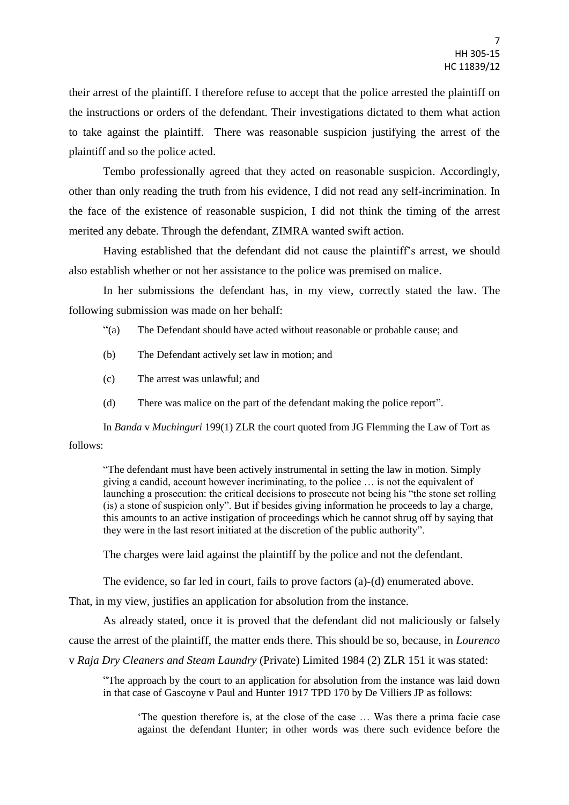their arrest of the plaintiff. I therefore refuse to accept that the police arrested the plaintiff on the instructions or orders of the defendant. Their investigations dictated to them what action to take against the plaintiff. There was reasonable suspicion justifying the arrest of the plaintiff and so the police acted.

Tembo professionally agreed that they acted on reasonable suspicion. Accordingly, other than only reading the truth from his evidence, I did not read any self-incrimination. In the face of the existence of reasonable suspicion, I did not think the timing of the arrest merited any debate. Through the defendant, ZIMRA wanted swift action.

Having established that the defendant did not cause the plaintiff's arrest, we should also establish whether or not her assistance to the police was premised on malice.

In her submissions the defendant has, in my view, correctly stated the law. The following submission was made on her behalf:

"(a) The Defendant should have acted without reasonable or probable cause; and

- (b) The Defendant actively set law in motion; and
- (c) The arrest was unlawful; and
- (d) There was malice on the part of the defendant making the police report".

In *Banda* v *Muchinguri* 199(1) ZLR the court quoted from JG Flemming the Law of Tort as follows:

"The defendant must have been actively instrumental in setting the law in motion. Simply giving a candid, account however incriminating, to the police … is not the equivalent of launching a prosecution: the critical decisions to prosecute not being his "the stone set rolling (is) a stone of suspicion only". But if besides giving information he proceeds to lay a charge, this amounts to an active instigation of proceedings which he cannot shrug off by saying that they were in the last resort initiated at the discretion of the public authority".

The charges were laid against the plaintiff by the police and not the defendant.

The evidence, so far led in court, fails to prove factors (a)-(d) enumerated above.

That, in my view, justifies an application for absolution from the instance.

As already stated, once it is proved that the defendant did not maliciously or falsely cause the arrest of the plaintiff, the matter ends there. This should be so, because, in *Lourenco*  v *Raja Dry Cleaners and Steam Laundry* (Private) Limited 1984 (2) ZLR 151 it was stated:

"The approach by the court to an application for absolution from the instance was laid down in that case of Gascoyne v Paul and Hunter 1917 TPD 170 by De Villiers JP as follows:

'The question therefore is, at the close of the case … Was there a prima facie case against the defendant Hunter; in other words was there such evidence before the